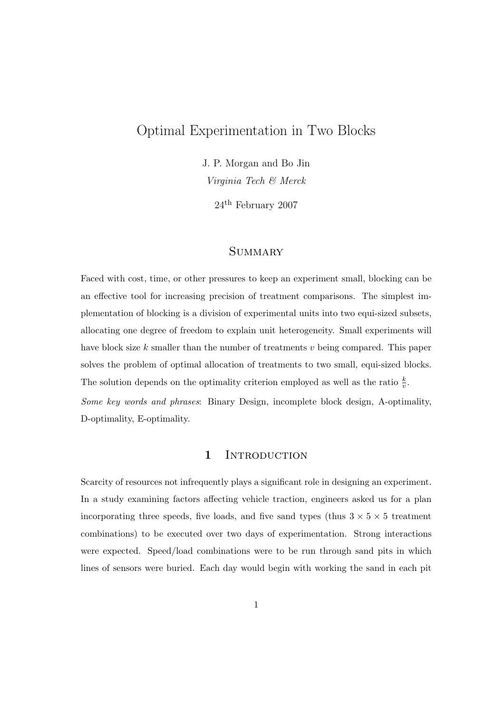# Optimal Experimentation in Two Blocks

J. P. Morgan and Bo Jin

Virginia Tech & Merck

24th February 2007

# **SUMMARY**

Faced with cost, time, or other pressures to keep an experiment small, blocking can be an effective tool for increasing precision of treatment comparisons. The simplest implementation of blocking is a division of experimental units into two equi-sized subsets, allocating one degree of freedom to explain unit heterogeneity. Small experiments will have block size  $k$  smaller than the number of treatments  $v$  being compared. This paper solves the problem of optimal allocation of treatments to two small, equi-sized blocks. The solution depends on the optimality criterion employed as well as the ratio  $\frac{k}{v}$ . Some key words and phrases: Binary Design, incomplete block design, A-optimality, D-optimality, E-optimality.

### 1 INTRODUCTION

Scarcity of resources not infrequently plays a significant role in designing an experiment. In a study examining factors affecting vehicle traction, engineers asked us for a plan incorporating three speeds, five loads, and five sand types (thus  $3 \times 5 \times 5$  treatment combinations) to be executed over two days of experimentation. Strong interactions were expected. Speed/load combinations were to be run through sand pits in which lines of sensors were buried. Each day would begin with working the sand in each pit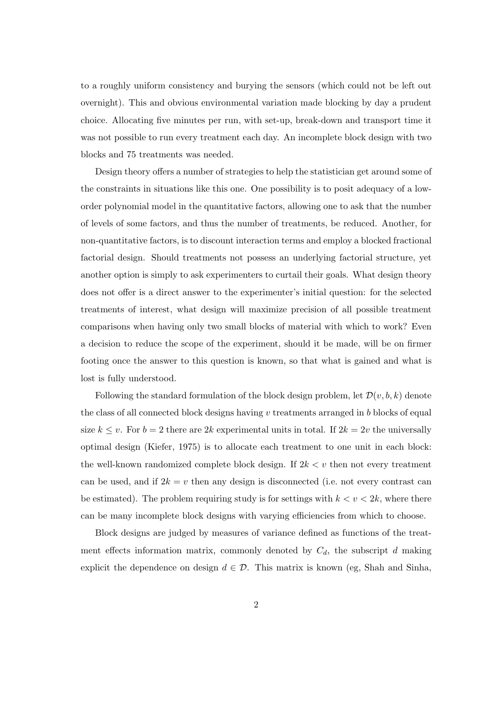to a roughly uniform consistency and burying the sensors (which could not be left out overnight). This and obvious environmental variation made blocking by day a prudent choice. Allocating five minutes per run, with set-up, break-down and transport time it was not possible to run every treatment each day. An incomplete block design with two blocks and 75 treatments was needed.

Design theory offers a number of strategies to help the statistician get around some of the constraints in situations like this one. One possibility is to posit adequacy of a loworder polynomial model in the quantitative factors, allowing one to ask that the number of levels of some factors, and thus the number of treatments, be reduced. Another, for non-quantitative factors, is to discount interaction terms and employ a blocked fractional factorial design. Should treatments not possess an underlying factorial structure, yet another option is simply to ask experimenters to curtail their goals. What design theory does not offer is a direct answer to the experimenter's initial question: for the selected treatments of interest, what design will maximize precision of all possible treatment comparisons when having only two small blocks of material with which to work? Even a decision to reduce the scope of the experiment, should it be made, will be on firmer footing once the answer to this question is known, so that what is gained and what is lost is fully understood.

Following the standard formulation of the block design problem, let  $\mathcal{D}(v, b, k)$  denote the class of all connected block designs having v treatments arranged in b blocks of equal size  $k \leq v$ . For  $b = 2$  there are 2k experimental units in total. If  $2k = 2v$  the universally optimal design (Kiefer, 1975) is to allocate each treatment to one unit in each block: the well-known randomized complete block design. If  $2k < v$  then not every treatment can be used, and if  $2k = v$  then any design is disconnected (i.e. not every contrast can be estimated). The problem requiring study is for settings with  $k < v < 2k$ , where there can be many incomplete block designs with varying efficiencies from which to choose.

Block designs are judged by measures of variance defined as functions of the treatment effects information matrix, commonly denoted by  $C_d$ , the subscript d making explicit the dependence on design  $d \in \mathcal{D}$ . This matrix is known (eg, Shah and Sinha,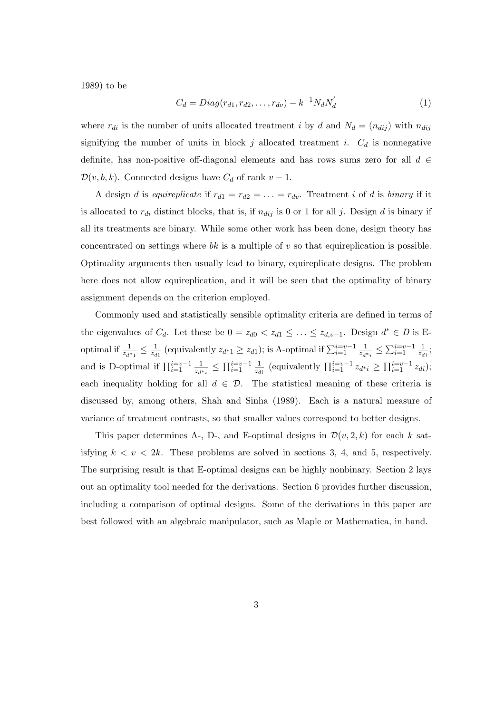1989) to be

$$
C_d = Diag(r_{d1}, r_{d2}, \dots, r_{dv}) - k^{-1} N_d N'_d \tag{1}
$$

where  $r_{di}$  is the number of units allocated treatment i by d and  $N_d = (n_{dij})$  with  $n_{dij}$ signifying the number of units in block j allocated treatment i.  $C_d$  is nonnegative definite, has non-positive off-diagonal elements and has rows sums zero for all  $d \in$  $\mathcal{D}(v, b, k)$ . Connected designs have  $C_d$  of rank  $v - 1$ .

A design d is equireplicate if  $r_{d1} = r_{d2} = \ldots = r_{dv}$ . Treatment i of d is binary if it is allocated to  $r_{di}$  distinct blocks, that is, if  $n_{dij}$  is 0 or 1 for all j. Design d is binary if all its treatments are binary. While some other work has been done, design theory has concentrated on settings where  $bk$  is a multiple of v so that equireplication is possible. Optimality arguments then usually lead to binary, equireplicate designs. The problem here does not allow equireplication, and it will be seen that the optimality of binary assignment depends on the criterion employed.

Commonly used and statistically sensible optimality criteria are defined in terms of the eigenvalues of  $C_d$ . Let these be  $0 = z_{d0} < z_{d1} \leq \ldots \leq z_{d,v-1}$ . Design  $d^* \in D$  is Eoptimal if  $\frac{1}{z_{d^*1}} \leq \frac{1}{z_d}$  $\frac{1}{z_{d1}}$  (equivalently  $z_{d^*1} \ge z_{d1}$ ); is A-optimal if  $\sum_{i=1}^{i=v-1} \frac{1}{z_{d^*}}$  $\frac{1}{z_{d^*i}} \leq \sum_{i=1}^{i=v-1} \frac{1}{z_d}$  $\frac{1}{z_{di}}$ ; and is D-optimal if  $\prod_{i=1}^{i=v-1} \frac{1}{z_{d_i}}$  $\frac{1}{z_{d^*i}} \leq \prod_{i=1}^{i=v-1} \frac{1}{z_d}$  $\frac{1}{z_{di}}$  (equivalently  $\prod_{i=1}^{i=v-1} z_{d^*i} \geq \prod_{i=1}^{i=v-1} z_{di}$ ); each inequality holding for all  $d \in \mathcal{D}$ . The statistical meaning of these criteria is discussed by, among others, Shah and Sinha (1989). Each is a natural measure of variance of treatment contrasts, so that smaller values correspond to better designs.

This paper determines A-, D-, and E-optimal designs in  $\mathcal{D}(v, 2, k)$  for each k satisfying  $k < v < 2k$ . These problems are solved in sections 3, 4, and 5, respectively. The surprising result is that E-optimal designs can be highly nonbinary. Section 2 lays out an optimality tool needed for the derivations. Section 6 provides further discussion, including a comparison of optimal designs. Some of the derivations in this paper are best followed with an algebraic manipulator, such as Maple or Mathematica, in hand.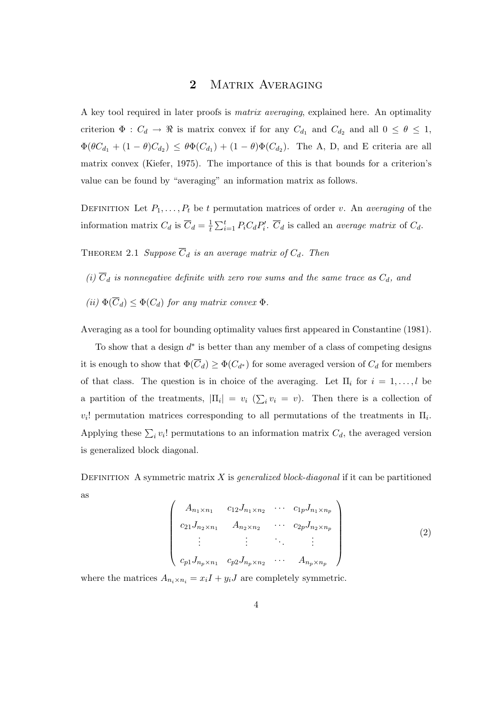### 2 MATRIX AVERAGING

A key tool required in later proofs is matrix averaging, explained here. An optimality criterion  $\Phi: C_d \to \Re$  is matrix convex if for any  $C_{d_1}$  and  $C_{d_2}$  and all  $0 \le \theta \le 1$ ,  $\Phi(\theta C_{d_1} + (1 - \theta)C_{d_2}) \leq \theta \Phi(C_{d_1}) + (1 - \theta) \Phi(C_{d_2}).$  The A, D, and E criteria are all matrix convex (Kiefer, 1975). The importance of this is that bounds for a criterion's value can be found by "averaging" an information matrix as follows.

DEFINITION Let  $P_1, \ldots, P_t$  be t permutation matrices of order v. An averaging of the information matrix  $C_d$  is  $\overline{C}_d = \frac{1}{t}$ t  $\sum_{i=1}^{t} P_i C_d P'_i$ .  $\overline{C}_d$  is called an *average matrix* of  $C_d$ .

THEOREM 2.1 Suppose  $\overline{C}_d$  is an average matrix of  $C_d$ . Then

- (i)  $\overline{C}_d$  is nonnegative definite with zero row sums and the same trace as  $C_d$ , and
- (ii)  $\Phi(\overline{C}_d) \leq \Phi(C_d)$  for any matrix convex  $\Phi$ .

Averaging as a tool for bounding optimality values first appeared in Constantine (1981).

To show that a design  $d^*$  is better than any member of a class of competing designs it is enough to show that  $\Phi(\overline{C}_d) \ge \Phi(C_{d^*})$  for some averaged version of  $C_d$  for members of that class. The question is in choice of the averaging. Let  $\Pi_i$  for  $i = 1, \ldots, l$  be a partition of the treatments,  $|\Pi_i| = v_i$  ( $\sum$  $i v_i = v$ ). Then there is a collection of  $v_i!$  permutation matrices corresponding to all permutations of the treatments in  $\Pi_i$ . Applying these  $\sum_i v_i!$  permutations to an information matrix  $C_d$ , the averaged version is generalized block diagonal.

DEFINITION A symmetric matrix X is *generalized block-diagonal* if it can be partitioned as  $\overline{a}$  $\mathbf{r}$ 

$$
\begin{pmatrix}\nA_{n_1 \times n_1} & c_{12} J_{n_1 \times n_2} & \cdots & c_{1p} J_{n_1 \times n_p} \\
c_{21} J_{n_2 \times n_1} & A_{n_2 \times n_2} & \cdots & c_{2p} J_{n_2 \times n_p} \\
\vdots & \vdots & \ddots & \vdots \\
c_{p1} J_{n_p \times n_1} & c_{p2} J_{n_p \times n_2} & \cdots & A_{n_p \times n_p}\n\end{pmatrix}
$$
\n(2)

where the matrices  $A_{n_i \times n_i} = x_i I + y_i J$  are completely symmetric.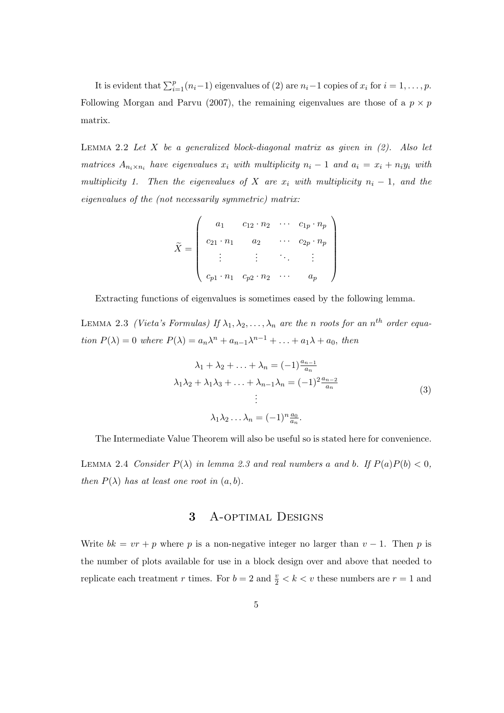It is evident that  $\sum_{i=1}^{p} (n_i-1)$  eigenvalues of (2) are  $n_i-1$  copies of  $x_i$  for  $i=1,\ldots,p$ . Following Morgan and Parvu (2007), the remaining eigenvalues are those of a  $p \times p$ matrix.

LEMMA 2.2 Let X be a generalized block-diagonal matrix as given in  $(2)$ . Also let matrices  $A_{n_i \times n_i}$  have eigenvalues  $x_i$  with multiplicity  $n_i - 1$  and  $a_i = x_i + n_i y_i$  with multiplicity 1. Then the eigenvalues of X are  $x_i$  with multiplicity  $n_i - 1$ , and the eigenvalues of the (not necessarily symmetric) matrix:

$$
\tilde{X} = \begin{pmatrix}\n a_1 & c_{12} \cdot n_2 & \cdots & c_{1p} \cdot n_p \\
 c_{21} \cdot n_1 & a_2 & \cdots & c_{2p} \cdot n_p \\
 \vdots & \vdots & \ddots & \vdots \\
 c_{p1} \cdot n_1 & c_{p2} \cdot n_2 & \cdots & a_p\n\end{pmatrix}
$$

Extracting functions of eigenvalues is sometimes eased by the following lemma.

LEMMA 2.3 (Vieta's Formulas) If  $\lambda_1, \lambda_2, \ldots, \lambda_n$  are the n roots for an  $n^{th}$  order equation  $P(\lambda) = 0$  where  $P(\lambda) = a_n \lambda^n + a_{n-1} \lambda^{n-1} + \ldots + a_1 \lambda + a_0$ , then

$$
\lambda_1 + \lambda_2 + \ldots + \lambda_n = (-1)^{\frac{a_{n-1}}{a_n}}
$$
  
\n
$$
\lambda_1 \lambda_2 + \lambda_1 \lambda_3 + \ldots + \lambda_{n-1} \lambda_n = (-1)^2 \frac{a_{n-2}}{a_n}
$$
  
\n
$$
\vdots
$$
  
\n
$$
\lambda_1 \lambda_2 \ldots \lambda_n = (-1)^n \frac{a_0}{a_n}.
$$
  
\n(3)

The Intermediate Value Theorem will also be useful so is stated here for convenience.

LEMMA 2.4 Consider  $P(\lambda)$  in lemma 2.3 and real numbers a and b. If  $P(a)P(b) < 0$ , then  $P(\lambda)$  has at least one root in  $(a, b)$ .

# 3 A-optimal Designs

Write  $bk = vr + p$  where p is a non-negative integer no larger than  $v - 1$ . Then p is the number of plots available for use in a block design over and above that needed to replicate each treatment r times. For  $b = 2$  and  $\frac{v}{2} < k < v$  these numbers are  $r = 1$  and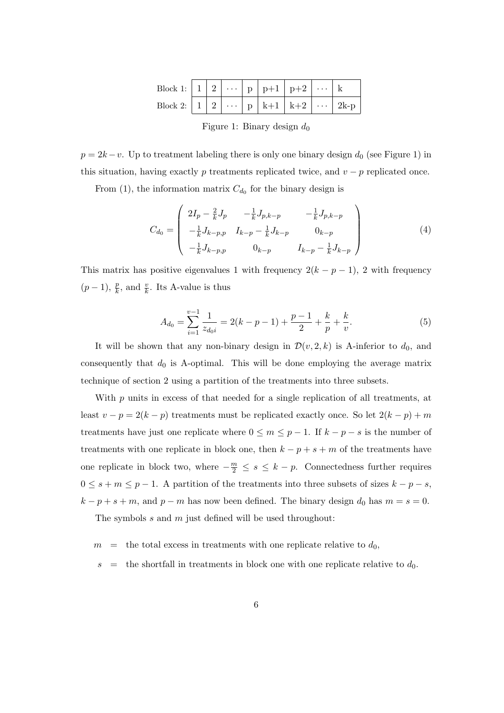| Block 1: $\mid 1 \mid 2 \mid \cdots \mid p \mid p+1 \mid p+2 \mid \cdots \mid k$ |  |  |  |  |
|----------------------------------------------------------------------------------|--|--|--|--|
|                                                                                  |  |  |  |  |

Figure 1: Binary design  $d_0$ 

 $p = 2k - v$ . Up to treatment labeling there is only one binary design  $d_0$  (see Figure 1) in this situation, having exactly p treatments replicated twice, and  $v - p$  replicated once.

From (1), the information matrix  $C_{d_0}$  for the binary design is

$$
C_{d_0} = \begin{pmatrix} 2I_p - \frac{2}{k}J_p & -\frac{1}{k}J_{p,k-p} & -\frac{1}{k}J_{p,k-p} \\ -\frac{1}{k}J_{k-p,p} & I_{k-p} - \frac{1}{k}J_{k-p} & 0_{k-p} \\ -\frac{1}{k}J_{k-p,p} & 0_{k-p} & I_{k-p} - \frac{1}{k}J_{k-p} \end{pmatrix}
$$
(4)

This matrix has positive eigenvalues 1 with frequency  $2(k - p - 1)$ , 2 with frequency  $(p-1), \frac{p}{k}, \text{ and } \frac{v}{k}.$  Its A-value is thus

$$
A_{d_0} = \sum_{i=1}^{v-1} \frac{1}{z_{d_0 i}} = 2(k - p - 1) + \frac{p-1}{2} + \frac{k}{p} + \frac{k}{v}.
$$
 (5)

It will be shown that any non-binary design in  $\mathcal{D}(v, 2, k)$  is A-inferior to  $d_0$ , and consequently that  $d_0$  is A-optimal. This will be done employing the average matrix technique of section 2 using a partition of the treatments into three subsets.

With  $p$  units in excess of that needed for a single replication of all treatments, at least  $v - p = 2(k - p)$  treatments must be replicated exactly once. So let  $2(k - p) + m$ treatments have just one replicate where  $0 \le m \le p-1$ . If  $k - p - s$  is the number of treatments with one replicate in block one, then  $k - p + s + m$  of the treatments have one replicate in block two, where  $-\frac{m}{2} \leq s \leq k - p$ . Connectedness further requires  $0 \leq s + m \leq p - 1$ . A partition of the treatments into three subsets of sizes  $k - p - s$ ,  $k - p + s + m$ , and  $p - m$  has now been defined. The binary design  $d_0$  has  $m = s = 0$ .

The symbols s and m just defined will be used throughout:

 $m =$  the total excess in treatments with one replicate relative to  $d_0$ ,

 $s =$  the shortfall in treatments in block one with one replicate relative to  $d_0$ .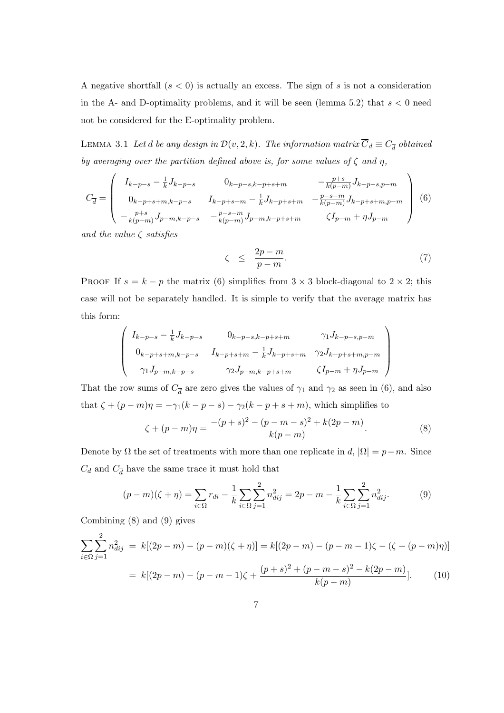A negative shortfall  $(s < 0)$  is actually an excess. The sign of s is not a consideration in the A- and D-optimality problems, and it will be seen (lemma 5.2) that  $s < 0$  need not be considered for the E-optimality problem.

LEMMA 3.1 Let  $d$  be any design in  $\mathcal{D}(v, 2, k)$ . The information matrix  $\overline{C}_d \equiv C_{\overline{d}}$  obtained by averaging over the partition defined above is, for some values of  $\zeta$  and  $\eta$ ,

$$
C_{\overline{d}} = \begin{pmatrix} I_{k-p-s} - \frac{1}{k} J_{k-p-s} & 0_{k-p-s,k-p+s+m} & -\frac{p+s}{k(p-m)} J_{k-p-s,p-m} \\ 0_{k-p+s+m,k-p-s} & I_{k-p+s+m} - \frac{1}{k} J_{k-p+s+m} & -\frac{p-s-m}{k(p-m)} J_{k-p+s+m,p-m} \\ -\frac{p+s}{k(p-m)} J_{p-m,k-p-s} & -\frac{p-s-m}{k(p-m)} J_{p-m,k-p+s+m} & \zeta I_{p-m} + \eta J_{p-m} \end{pmatrix} (6)
$$

and the value  $\zeta$  satisfies

$$
\zeta \leq \frac{2p-m}{p-m}.\tag{7}
$$

PROOF If  $s = k - p$  the matrix (6) simplifies from  $3 \times 3$  block-diagonal to  $2 \times 2$ ; this case will not be separately handled. It is simple to verify that the average matrix has this form:  $\overline{\phantom{a}}$  $\mathbf{r}$ 

$$
\begin{pmatrix}\nI_{k-p-s} - \frac{1}{k} J_{k-p-s} & 0_{k-p-s,k-p+s+m} & \gamma_1 J_{k-p-s,p-m} \\
0_{k-p+s+m,k-p-s} & I_{k-p+s+m} - \frac{1}{k} J_{k-p+s+m} & \gamma_2 J_{k-p+s+m,p-m} \\
\gamma_1 J_{p-m,k-p-s} & \gamma_2 J_{p-m,k-p+s+m} & \zeta I_{p-m} + \eta J_{p-m}\n\end{pmatrix}
$$

That the row sums of  $C_{\overline{d}}$  are zero gives the values of  $\gamma_1$  and  $\gamma_2$  as seen in (6), and also that  $\zeta + (p - m)\eta = -\gamma_1(k - p - s) - \gamma_2(k - p + s + m)$ , which simplifies to

$$
\zeta + (p - m)\eta = \frac{-(p + s)^2 - (p - m - s)^2 + k(2p - m)}{k(p - m)}.
$$
\n(8)

Denote by  $\Omega$  the set of treatments with more than one replicate in d,  $|\Omega| = p-m$ . Since  $C_d$  and  $C_{\overline{d}}$  have the same trace it must hold that

$$
(p-m)(\zeta + \eta) = \sum_{i \in \Omega} r_{di} - \frac{1}{k} \sum_{i \in \Omega} \sum_{j=1}^2 n_{dij}^2 = 2p - m - \frac{1}{k} \sum_{i \in \Omega} \sum_{j=1}^2 n_{dij}^2.
$$
 (9)

Combining (8) and (9) gives

$$
\sum_{i \in \Omega} \sum_{j=1}^{2} n_{dij}^{2} = k[(2p - m) - (p - m)(\zeta + \eta)] = k[(2p - m) - (p - m - 1)\zeta - (\zeta + (p - m)\eta)]
$$

$$
= k[(2p - m) - (p - m - 1)\zeta + \frac{(p + s)^{2} + (p - m - s)^{2} - k(2p - m)}{k(p - m)}].
$$
(10)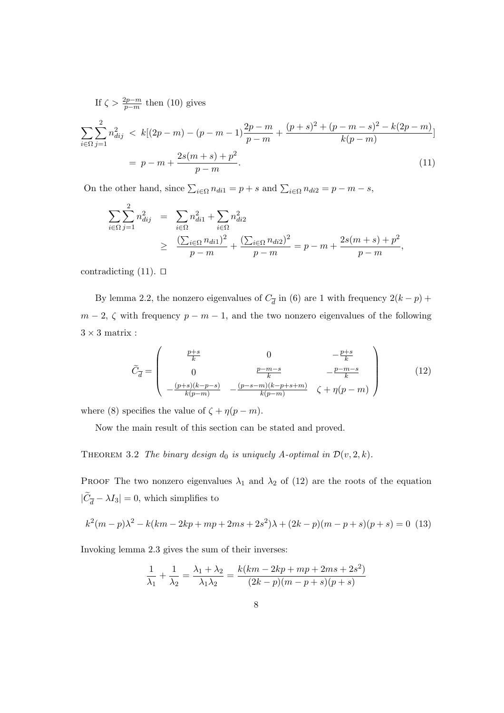If  $\zeta > \frac{2p-m}{p-m}$  then (10) gives

$$
\sum_{i \in \Omega} \sum_{j=1}^{2} n_{dij}^{2} < k[(2p-m) - (p-m-1)\frac{2p-m}{p-m} + \frac{(p+s)^{2} + (p-m-s)^{2} - k(2p-m)}{k(p-m)}]
$$
\n
$$
= p - m + \frac{2s(m+s) + p^{2}}{p-m}.\tag{11}
$$

On the other hand, since  $\sum_{i \in \Omega} n_{di1} = p + s$  and  $\sum_{i \in \Omega} n_{di2} = p - m - s$ ,

$$
\sum_{i \in \Omega} \sum_{j=1}^{2} n_{dij}^{2} = \sum_{i \in \Omega} n_{dij}^{2} + \sum_{i \in \Omega} n_{dij}^{2}
$$
  
 
$$
\geq \frac{\left(\sum_{i \in \Omega} n_{di1}\right)^{2}}{p - m} + \frac{\left(\sum_{i \in \Omega} n_{di2}\right)^{2}}{p - m} = p - m + \frac{2s(m + s) + p^{2}}{p - m},
$$

contradicting  $(11)$ .  $\Box$ 

By lemma 2.2, the nonzero eigenvalues of  $C_{\overline{d}}$  in (6) are 1 with frequency  $2(k - p)$  +  $m-2$ ,  $\zeta$  with frequency  $p-m-1$ , and the two nonzero eigenvalues of the following  $3\times 3$  matrix :

$$
\widetilde{C}_{\overline{d}} = \begin{pmatrix} \frac{p+s}{k} & 0 & -\frac{p+s}{k} \\ 0 & \frac{p-m-s}{k} & -\frac{p-m-s}{k} \\ -\frac{(p+s)(k-p-s)}{k(p-m)} & -\frac{(p-s-m)(k-p+s+m)}{k(p-m)} & \zeta + \eta(p-m) \end{pmatrix}
$$
(12)

where (8) specifies the value of  $\zeta + \eta(p - m)$ .

Now the main result of this section can be stated and proved.

THEOREM 3.2 The binary design  $d_0$  is uniquely A-optimal in  $\mathcal{D}(v, 2, k)$ .

PROOF The two nonzero eigenvalues  $\lambda_1$  and  $\lambda_2$  of (12) are the roots of the equation  $|\tilde{C}_{\overline{d}} - \lambda I_3| = 0$ , which simplifies to

$$
k^{2}(m-p)\lambda^{2} - k(km - 2kp + mp + 2ms + 2s^{2})\lambda + (2k - p)(m - p + s)(p + s) = 0
$$
 (13)

Invoking lemma 2.3 gives the sum of their inverses:

$$
\frac{1}{\lambda_1} + \frac{1}{\lambda_2} = \frac{\lambda_1 + \lambda_2}{\lambda_1 \lambda_2} = \frac{k(km - 2kp + mp + 2ms + 2s^2)}{(2k - p)(m - p + s)(p + s)}
$$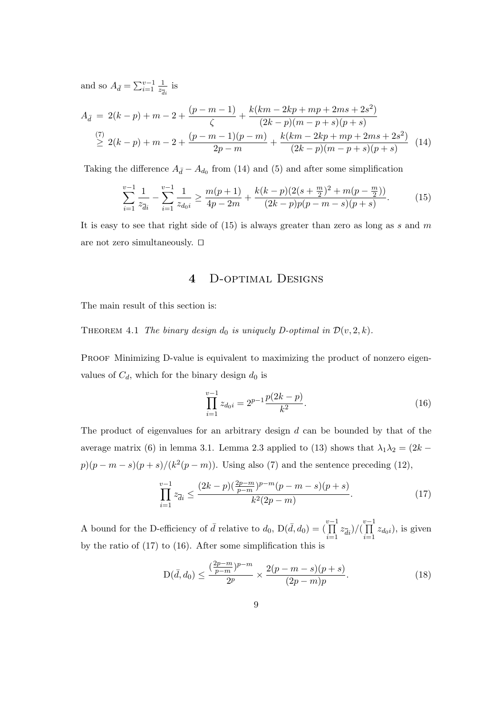and so  $A_{\bar{d}} = \sum_{i=1}^{v-1} \frac{1}{z_i}$  $rac{1}{z_{\overline{d}i}}$  is

$$
A_{\bar{d}} = 2(k-p) + m - 2 + \frac{(p-m-1)}{\zeta} + \frac{k(km-2kp+mp+2ms+2s^2)}{(2k-p)(m-p+s)(p+s)}
$$
  
\n
$$
\overset{(7)}{\geq} 2(k-p) + m - 2 + \frac{(p-m-1)(p-m)}{2p-m} + \frac{k(km-2kp+mp+2ms+2s^2)}{(2k-p)(m-p+s)(p+s)}
$$
 (14)

Taking the difference  $A_{\bar{d}}-A_{d_0}$  from (14) and (5) and after some simplification

$$
\sum_{i=1}^{v-1} \frac{1}{z_{di}} - \sum_{i=1}^{v-1} \frac{1}{z_{d_0i}} \ge \frac{m(p+1)}{4p-2m} + \frac{k(k-p)(2(s+\frac{m}{2})^2 + m(p-\frac{m}{2}))}{(2k-p)p(p-m-s)(p+s)}.
$$
(15)

It is easy to see that right side of  $(15)$  is always greater than zero as long as s and m are not zero simultaneously.  $\Box$ 

### 4 D-optimal Designs

The main result of this section is:

THEOREM 4.1 The binary design  $d_0$  is uniquely D-optimal in  $\mathcal{D}(v, 2, k)$ .

PROOF Minimizing D-value is equivalent to maximizing the product of nonzero eigenvalues of  $C_d$ , which for the binary design  $d_0$  is

$$
\prod_{i=1}^{v-1} z_{d_0i} = 2^{p-1} \frac{p(2k-p)}{k^2}.
$$
\n(16)

The product of eigenvalues for an arbitrary design  $d$  can be bounded by that of the average matrix (6) in lemma 3.1. Lemma 2.3 applied to (13) shows that  $\lambda_1 \lambda_2 = (2k$  $p(p-m-s)(p+s)/(k^2(p-m))$ . Using also (7) and the sentence preceding (12),

$$
\prod_{i=1}^{v-1} z_{\overline{d}i} \le \frac{(2k-p)(\frac{2p-m}{p-m})^{p-m}(p-m-s)(p+s)}{k^2(2p-m)}.
$$
\n(17)

A bound for the D-efficiency of  $\bar{d}$  relative to  $d_0$ ,  $D(\bar{d}, d_0) = \left(\prod_{i=1}^{v-1} \right)$  $\prod_{i=1}^{v-1} z_{\overline{d}i}$  $)/(\prod_{i=1}^{v-1}$  $\prod_{i=1} z_{d_0i}$ , is given by the ratio of (17) to (16). After some simplification this is

$$
D(\bar{d}, d_0) \le \frac{\left(\frac{2p-m}{p-m}\right)^{p-m}}{2^p} \times \frac{2(p-m-s)(p+s)}{(2p-m)p}.\tag{18}
$$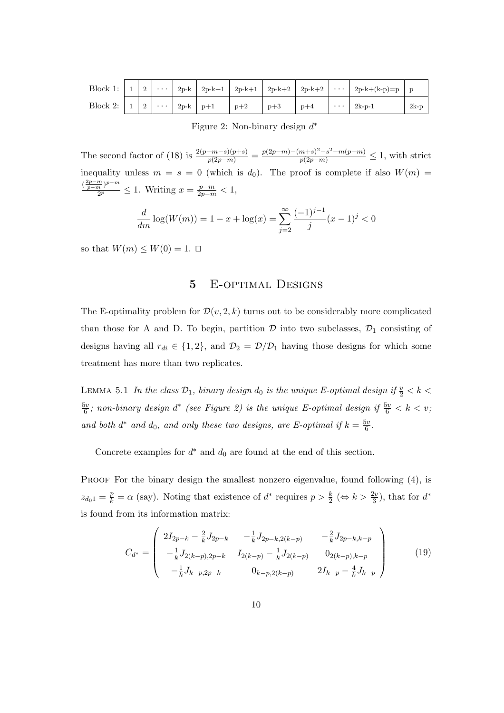|  |  |  |       |       |       | Block 1: $ 1 2  \cdots  2p-k 2p-k+1 2p-k+1 2p-k+2 2p-k+2  \cdots  2p-k+(k-p)=p p$ |        |
|--|--|--|-------|-------|-------|-----------------------------------------------------------------------------------|--------|
|  |  |  | $p+2$ | $p+3$ | $p+4$ | $\cdots$   2k-p-1                                                                 | $2k-p$ |

Figure 2: Non-binary design  $d^*$ 

The second factor of (18) is  $\frac{2(p-m-s)(p+s)}{p(2p-m)} = \frac{p(2p-m)-(m+s)^2-s^2-m(p-m)}{p(2p-m)} \leq 1$ , with strict inequality unless  $m = s = 0$  (which is  $d_0$ ). The proof is complete if also  $W(m)$  =  $\left(\frac{2p-m}{p-m}\right)p-m$  $\frac{\frac{m}{p}p^{-m}}{2^p} \leq 1$ . Writing  $x = \frac{p-m}{2p-m} < 1$ ,

$$
\frac{d}{dm}\log(W(m)) = 1 - x + \log(x) = \sum_{j=2}^{\infty} \frac{(-1)^{j-1}}{j} (x - 1)^j < 0
$$

so that  $W(m) \leq W(0) = 1$ .  $\Box$ 

#### 5 E-optimal Designs

The E-optimality problem for  $\mathcal{D}(v, 2, k)$  turns out to be considerably more complicated than those for A and D. To begin, partition  $\mathcal D$  into two subclasses,  $\mathcal D_1$  consisting of designs having all  $r_{di} \in \{1, 2\}$ , and  $\mathcal{D}_2 = \mathcal{D}/\mathcal{D}_1$  having those designs for which some treatment has more than two replicates.

LEMMA 5.1 In the class  $\mathcal{D}_1$ , binary design  $d_0$  is the unique E-optimal design if  $\frac{v}{2} < k <$  $5v$  $\frac{6}{6}$ ; non-binary design  $d^*$  (see Figure 2) is the unique E-optimal design if  $\frac{5v}{6} < k < v$ ; and both  $d^*$  and  $d_0$ , and only these two designs, are E-optimal if  $k = \frac{5v}{6}$  $\frac{5v}{6}$  .

Concrete examples for  $d^*$  and  $d_0$  are found at the end of this section.

PROOF For the binary design the smallest nonzero eigenvalue, found following (4), is  $z_{d_0} = \frac{p}{k} = \alpha$  (say). Noting that existence of  $d^*$  requires  $p > \frac{k}{2}$  ( $\Leftrightarrow k > \frac{2v}{3}$ ), that for  $d^*$ is found from its information matrix:

$$
C_{d^*} = \begin{pmatrix} 2I_{2p-k} - \frac{2}{k}J_{2p-k} & -\frac{1}{k}J_{2p-k,2(k-p)} & -\frac{2}{k}J_{2p-k,k-p} \\ -\frac{1}{k}J_{2(k-p),2p-k} & I_{2(k-p)} - \frac{1}{k}J_{2(k-p)} & 0_{2(k-p),k-p} \\ -\frac{1}{k}J_{k-p,2p-k} & 0_{k-p,2(k-p)} & 2I_{k-p} - \frac{4}{k}J_{k-p} \end{pmatrix}
$$
(19)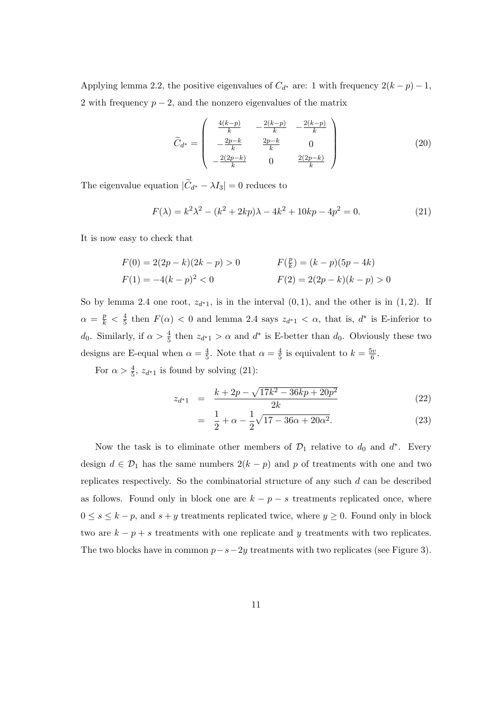Applying lemma 2.2, the positive eigenvalues of  $C_{d^*}$  are: 1 with frequency  $2(k-p)-1$ , 2 with frequency  $p-2$ , and the nonzero eigenvalues of the matrix

$$
\widetilde{C}_{d^*} = \begin{pmatrix}\n\frac{4(k-p)}{k} & -\frac{2(k-p)}{k} & -\frac{2(k-p)}{k} \\
-\frac{2p-k}{k} & \frac{2p-k}{k} & 0 \\
-\frac{2(2p-k)}{k} & 0 & \frac{2(2p-k)}{k}\n\end{pmatrix}
$$
\n(20)

The eigenvalue equation  $|\tilde{C}_{d^*} - \lambda I_3| = 0$  reduces to

$$
F(\lambda) = k^2 \lambda^2 - (k^2 + 2kp)\lambda - 4k^2 + 10kp - 4p^2 = 0.
$$
 (21)

It is now easy to check that

$$
F(0) = 2(2p - k)(2k - p) > 0
$$
  
\n
$$
F(\frac{p}{k}) = (k - p)(5p - 4k)
$$
  
\n
$$
F(1) = -4(k - p)^2 < 0
$$
  
\n
$$
F(2) = 2(2p - k)(k - p) > 0
$$

So by lemma 2.4 one root,  $z_{d*1}$ , is in the interval  $(0, 1)$ , and the other is in  $(1, 2)$ . If  $\alpha = \frac{p}{k} < \frac{4}{5}$  $\frac{4}{5}$  then  $F(\alpha) < 0$  and lemma 2.4 says  $z_{d^*1} < \alpha$ , that is,  $d^*$  is E-inferior to d<sub>0</sub>. Similarly, if  $\alpha > \frac{4}{5}$  then  $z_{d^*1} > \alpha$  and  $d^*$  is E-better than  $d_0$ . Obviously these two designs are E-equal when  $\alpha = \frac{4}{5}$  $\frac{4}{5}$ . Note that  $\alpha = \frac{4}{5}$  $\frac{4}{5}$  is equivalent to  $k = \frac{5v}{6}$  $\frac{5v}{6}$ .

For  $\alpha > \frac{4}{5}$ ,  $z_{d^*1}$  is found by solving (21):

$$
z_{d^*1} = \frac{k + 2p - \sqrt{17k^2 - 36kp + 20p^2}}{2k} \tag{22}
$$

$$
= \frac{1}{2} + \alpha - \frac{1}{2}\sqrt{17 - 36\alpha + 20\alpha^2}.
$$
 (23)

Now the task is to eliminate other members of  $\mathcal{D}_1$  relative to  $d_0$  and  $d^*$ . Every design  $d \in \mathcal{D}_1$  has the same numbers  $2(k - p)$  and p of treatments with one and two replicates respectively. So the combinatorial structure of any such  $d$  can be described as follows. Found only in block one are  $k - p - s$  treatments replicated once, where  $0 \leq s \leq k - p$ , and  $s + y$  treatments replicated twice, where  $y \geq 0$ . Found only in block two are  $k - p + s$  treatments with one replicate and y treatments with two replicates. The two blocks have in common  $p-s-2y$  treatments with two replicates (see Figure 3).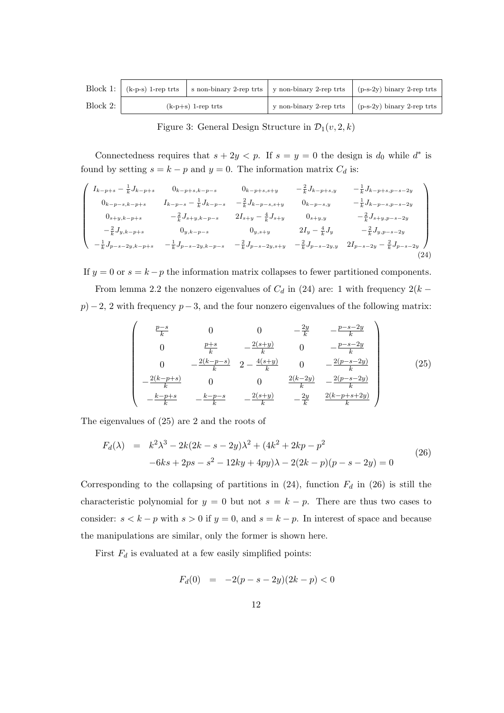|          |                      | Block 1: $\vert$ (k-p-s) 1-rep trts $\vert$ s non-binary 2-rep trts $\vert$ y non-binary 2-rep trts | $(p-s-2y)$ binary 2-rep trts |
|----------|----------------------|-----------------------------------------------------------------------------------------------------|------------------------------|
| Block 2: | $(k-p+s)$ 1-rep trts | y non-binary 2-rep trts                                                                             | $(p-s-2y)$ binary 2-rep trts |

Figure 3: General Design Structure in  $\mathcal{D}_1(v, 2, k)$ 

Connectedness requires that  $s + 2y < p$ . If  $s = y = 0$  the design is  $d_0$  while  $d^*$  is found by setting  $s = k - p$  and  $y = 0$ . The information matrix  $C_d$  is:

$$
\begin{pmatrix}\nI_{k-p+s} - \frac{1}{k} J_{k-p+s} & 0_{k-p+s,k-p-s} & 0_{k-p+s,s+y} & -\frac{2}{k} J_{k-p+s,y} & -\frac{1}{k} J_{k-p+s,p-s-2y} \\
0_{k-p-s,k-p+s} & I_{k-p-s} - \frac{1}{k} J_{k-p-s} & -\frac{2}{k} J_{k-p-s,s+y} & 0_{k-p-s,y} & -\frac{1}{k} J_{k-p-s,p-s-2y} \\
0_{s+y,k-p+s} & -\frac{2}{k} J_{s+y,k-p-s} & 2I_{s+y} - \frac{4}{k} J_{s+y} & 0_{s+y,y} & -\frac{2}{k} J_{s+y,p-s-2y} \\
-\frac{2}{k} J_{y,k-p+s} & 0_{y,k-p-s} & 0_{y,s+y} & 2I_y - \frac{4}{k} J_y & -\frac{2}{k} J_{y,p-s-2y} \\
-\frac{1}{k} J_{p-s-2y,k-p+s} & -\frac{1}{k} J_{p-s-2y,k-p-s} & -\frac{2}{k} J_{p-s-2y,s+y} & -\frac{2}{k} J_{p-s-2y,y} & 2I_{p-s-2y} - \frac{2}{k} J_{p-s-2y} \n\end{pmatrix}
$$
\n(24)

If  $y = 0$  or  $s = k - p$  the information matrix collapses to fewer partitioned components. From lemma 2.2 the nonzero eigenvalues of  $C_d$  in (24) are: 1 with frequency 2(k –  $p) - 2$ , 2 with frequency  $p - 3$ , and the four nonzero eigenvalues of the following matrix:

$$
\begin{pmatrix}\n\frac{p-s}{k} & 0 & 0 & -\frac{2y}{k} & -\frac{p-s-2y}{k} \\
0 & \frac{p+s}{k} & -\frac{2(s+y)}{k} & 0 & -\frac{p-s-2y}{k} \\
0 & -\frac{2(k-p-s)}{k} & 2 - \frac{4(s+y)}{k} & 0 & -\frac{2(p-s-2y)}{k} \\
-\frac{2(k-p+s)}{k} & 0 & 0 & \frac{2(k-2y)}{k} & -\frac{2(p-s-2y)}{k} \\
-\frac{k-p+s}{k} & -\frac{k-p-s}{k} & -\frac{2(s+y)}{k} & -\frac{2y}{k} & \frac{2(k-p+s+2y)}{k}\n\end{pmatrix}
$$
\n(25)

The eigenvalues of (25) are 2 and the roots of

$$
F_d(\lambda) = k^2 \lambda^3 - 2k(2k - s - 2y)\lambda^2 + (4k^2 + 2kp - p^2 - 6ks + 2ps - s^2 - 12ky + 4py)\lambda - 2(2k - p)(p - s - 2y) = 0
$$
\n(26)

Corresponding to the collapsing of partitions in  $(24)$ , function  $F<sub>d</sub>$  in  $(26)$  is still the characteristic polynomial for  $y = 0$  but not  $s = k - p$ . There are thus two cases to consider:  $s < k - p$  with  $s > 0$  if  $y = 0$ , and  $s = k - p$ . In interest of space and because the manipulations are similar, only the former is shown here.

First  $F_d$  is evaluated at a few easily simplified points:

$$
F_d(0) = -2(p - s - 2y)(2k - p) < 0
$$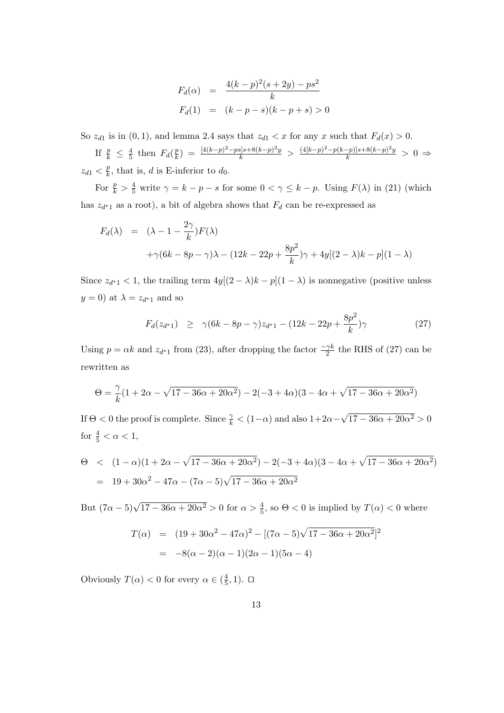$$
F_d(\alpha) = \frac{4(k-p)^2(s+2y)-ps^2}{k}
$$
  

$$
F_d(1) = (k-p-s)(k-p+s) > 0
$$

So  $z_{d1}$  is in  $(0, 1)$ , and lemma 2.4 says that  $z_{d1} < x$  for any x such that  $F_d(x) > 0$ .

If  $\frac{p}{k} \leq \frac{4}{5}$  $rac{4}{5}$  then  $F_d(\frac{p}{k})$  $\frac{p}{k}$ ) =  $\frac{[4(k-p)^2 - ps]s + 8(k-p)^2y}{k}$  >  $\frac{(4[k-p)^2 - p(k-p)]s + 8(k-p)^2y}{k}$  > 0 ⇒  $z_{d1} < \frac{p}{k}$  $\frac{p}{k}$ , that is, d is E-inferior to  $d_0$ .

For  $\frac{p}{k} > \frac{4}{5}$  write  $\gamma = k - p - s$  for some  $0 < \gamma \leq k - p$ . Using  $F(\lambda)$  in (21) (which has  $z_{d^*1}$  as a root), a bit of algebra shows that  $F_d$  can be re-expressed as

$$
F_d(\lambda) = (\lambda - 1 - \frac{2\gamma}{k})F(\lambda)
$$
  
+ $\gamma(6k - 8p - \gamma)\lambda - (12k - 22p + \frac{8p^2}{k})\gamma + 4y[(2 - \lambda)k - p](1 - \lambda)$ 

Since  $z_{d^*1} < 1$ , the trailing term  $4y[(2 - \lambda)k - p](1 - \lambda)$  is nonnegative (positive unless  $y = 0$ ) at  $\lambda = z_{d^*1}$  and so

$$
F_d(z_{d^*1}) \ge \gamma (6k - 8p - \gamma)z_{d^*1} - (12k - 22p + \frac{8p^2}{k})\gamma \tag{27}
$$

Using  $p = \alpha k$  and  $z_{d^*1}$  from (23), after dropping the factor  $\frac{-\gamma k}{2}$  the RHS of (27) can be rewritten as

$$
\Theta=\frac{\gamma}{k}(1+2\alpha-\sqrt{17-36\alpha+20\alpha^2})-2(-3+4\alpha)(3-4\alpha+\sqrt{17-36\alpha+20\alpha^2})
$$

If  $\Theta < 0$  the proof is complete. Since  $\frac{\gamma}{k} < (1-\alpha)$  and also  $1+2\alpha-$ √  $17 - 36\alpha + 20\alpha^2 > 0$ for  $\frac{4}{5} < \alpha < 1$ ,

$$
\Theta < (1 - \alpha)(1 + 2\alpha - \sqrt{17 - 36\alpha + 20\alpha^2}) - 2(-3 + 4\alpha)(3 - 4\alpha + \sqrt{17 - 36\alpha + 20\alpha^2})
$$
  
= 19 + 30 $\alpha^2$  - 47 $\alpha$  - (7 $\alpha$  - 5) $\sqrt{17 - 36\alpha + 20\alpha^2}$ 

But  $(7\alpha - 5)\sqrt{17 - 36\alpha + 20\alpha^2} > 0$  for  $\alpha > \frac{4}{5}$ , so  $\Theta < 0$  is implied by  $T(\alpha) < 0$  where

$$
T(\alpha) = (19 + 30\alpha^2 - 47\alpha)^2 - [(7\alpha - 5)\sqrt{17 - 36\alpha + 20\alpha^2}]^2
$$
  
= -8(\alpha - 2)(\alpha - 1)(2\alpha - 1)(5\alpha - 4)

Obviously  $T(\alpha) < 0$  for every  $\alpha \in (\frac{4}{5})$  $(\frac{4}{5}, 1)$ .  $\Box$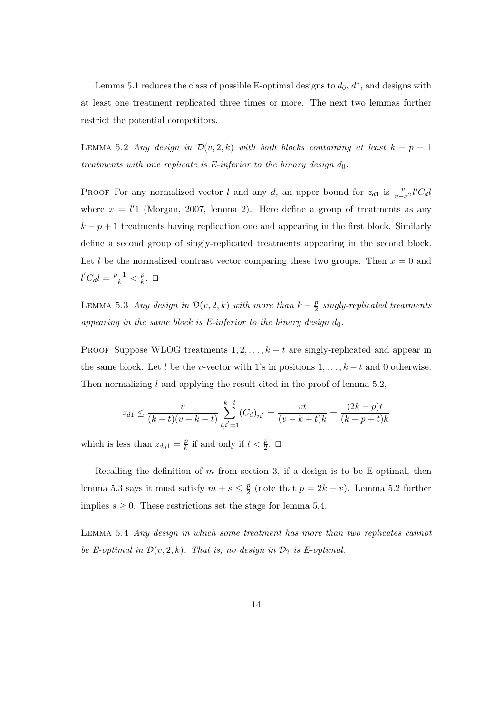Lemma 5.1 reduces the class of possible E-optimal designs to  $d_0, d^*$ , and designs with at least one treatment replicated three times or more. The next two lemmas further restrict the potential competitors.

LEMMA 5.2 Any design in  $\mathcal{D}(v, 2, k)$  with both blocks containing at least  $k - p + 1$ treatments with one replicate is E-inferior to the binary design  $d_0$ .

PROOF For any normalized vector l and any d, an upper bound for  $z_{d1}$  is  $\frac{v}{v-x^2}l'C_d l$ where  $x = l'1$  (Morgan, 2007, lemma 2). Here define a group of treatments as any  $k - p + 1$  treatments having replication one and appearing in the first block. Similarly define a second group of singly-replicated treatments appearing in the second block. Let l be the normalized contrast vector comparing these two groups. Then  $x = 0$  and  $l'C_d l = \frac{p-1}{k} < \frac{p}{k}$  $\frac{p}{k}$ .  $\Box$ 

LEMMA 5.3 Any design in  $\mathcal{D}(v, 2, k)$  with more than  $k - \frac{p}{2}$  $\frac{p}{2}$  singly-replicated treatments appearing in the same block is E-inferior to the binary design  $d_0$ .

PROOF Suppose WLOG treatments  $1, 2, \ldots, k-t$  are singly-replicated and appear in the same block. Let l be the v-vector with 1's in positions  $1, \ldots, k-t$  and 0 otherwise. Then normalizing  $l$  and applying the result cited in the proof of lemma 5.2,

$$
z_{d1} \le \frac{v}{(k-t)(v-k+t)} \sum_{i,i'=1}^{k-t} (C_d)_{ii'} = \frac{vt}{(v-k+t)k} = \frac{(2k-p)t}{(k-p+t)k}
$$

which is less than  $z_{d_0} = \frac{p}{k}$  $\frac{p}{k}$  if and only if  $t < \frac{p}{2}$ .  $\Box$ 

Recalling the definition of  $m$  from section 3, if a design is to be E-optimal, then lemma 5.3 says it must satisfy  $m + s \leq \frac{p}{2}$  $\frac{p}{2}$  (note that  $p = 2k - v$ ). Lemma 5.2 further implies  $s \geq 0$ . These restrictions set the stage for lemma 5.4.

Lemma 5.4 Any design in which some treatment has more than two replicates cannot be E-optimal in  $\mathcal{D}(v, 2, k)$ . That is, no design in  $\mathcal{D}_2$  is E-optimal.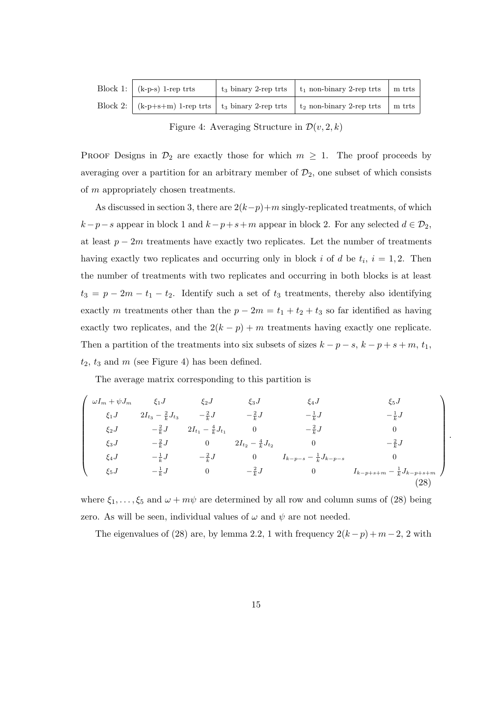| Block 1: $\vert$ (k-p-s) 1-rep trts | $t_3$ binary 2-rep trts $\mid t_1$ non-binary 2-rep trts | $\ln$ trts |
|-------------------------------------|----------------------------------------------------------|------------|
|                                     |                                                          | $\ln$ trts |

Figure 4: Averaging Structure in  $\mathcal{D}(v, 2, k)$ 

PROOF Designs in  $\mathcal{D}_2$  are exactly those for which  $m \geq 1$ . The proof proceeds by averaging over a partition for an arbitrary member of  $\mathcal{D}_2$ , one subset of which consists of m appropriately chosen treatments.

As discussed in section 3, there are  $2(k-p)+m$  singly-replicated treatments, of which  $k-p-s$  appear in block 1 and  $k-p+s+m$  appear in block 2. For any selected  $d \in \mathcal{D}_2$ , at least  $p-2m$  treatments have exactly two replicates. Let the number of treatments having exactly two replicates and occurring only in block i of d be  $t_i$ ,  $i = 1, 2$ . Then the number of treatments with two replicates and occurring in both blocks is at least  $t_3 = p - 2m - t_1 - t_2$ . Identify such a set of  $t_3$  treatments, thereby also identifying exactly m treatments other than the  $p - 2m = t_1 + t_2 + t_3$  so far identified as having exactly two replicates, and the  $2(k - p) + m$  treatments having exactly one replicate. Then a partition of the treatments into six subsets of sizes  $k - p - s$ ,  $k - p + s + m$ ,  $t_1$ ,  $t_2$ ,  $t_3$  and  $m$  (see Figure 4) has been defined.

The average matrix corresponding to this partition is

$$
\begin{pmatrix}\n\omega I_m + \psi J_m & \xi_1 J & \xi_2 J & \xi_3 J & \xi_4 J & \xi_5 J \\
\xi_1 J & 2I_{t_3} - \frac{2}{k} J_{t_3} & -\frac{2}{k} J & -\frac{2}{k} J & -\frac{1}{k} J & -\frac{1}{k} J \\
\xi_2 J & -\frac{2}{k} J & 2I_{t_1} - \frac{4}{k} J_{t_1} & 0 & -\frac{2}{k} J & 0 \\
\xi_3 J & -\frac{2}{k} J & 0 & 2I_{t_2} - \frac{4}{k} J_{t_2} & 0 & -\frac{2}{k} J \\
\xi_4 J & -\frac{1}{k} J & -\frac{2}{k} J & 0 & I_{k-p-s} - \frac{1}{k} J_{k-p-s} & 0 \\
\xi_5 J & -\frac{1}{k} J & 0 & -\frac{2}{k} J & 0 & I_{k-p+s+m} - \frac{1}{k} J_{k-p+s+m}\n\end{pmatrix}
$$
\n(28)

.

where  $\xi_1, \ldots, \xi_5$  and  $\omega + m\psi$  are determined by all row and column sums of (28) being zero. As will be seen, individual values of  $\omega$  and  $\psi$  are not needed.

The eigenvalues of (28) are, by lemma 2.2, 1 with frequency  $2(k-p) + m-2$ , 2 with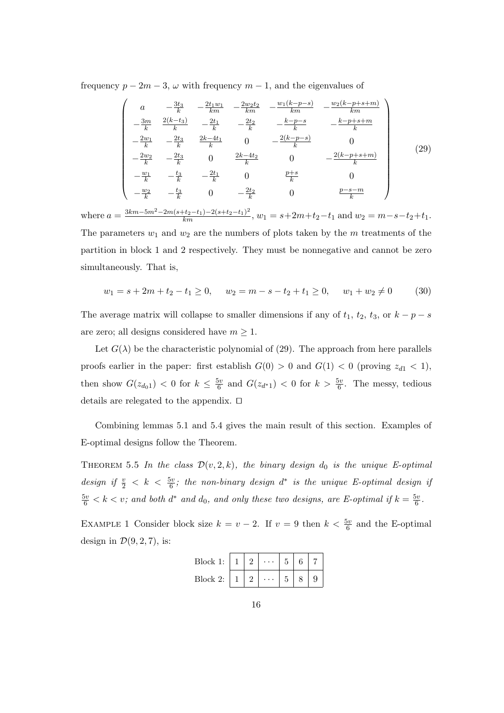frequency  $p - 2m - 3$ ,  $\omega$  with frequency  $m - 1$ , and the eigenvalues of

$$
\begin{pmatrix}\na & -\frac{3t_3}{k} & -\frac{2t_1w_1}{km} & -\frac{2w_2t_2}{km} & -\frac{w_1(k-p-s)}{km} & -\frac{w_2(k-p+s+m)}{km} \\
-\frac{3m}{k} & \frac{2(k-t_3)}{k} & -\frac{2t_1}{k} & -\frac{2t_2}{k} & -\frac{k-p-s}{k} & -\frac{k-p+s+m}{k} \\
-\frac{2w_1}{k} & -\frac{2t_3}{k} & \frac{2k-4t_1}{k} & 0 & -\frac{2(k-p-s)}{k} & 0 \\
-\frac{2w_2}{k} & -\frac{2t_3}{k} & 0 & \frac{2k-4t_2}{k} & 0 & -\frac{2(k-p+s+m)}{k} \\
-\frac{w_1}{k} & -\frac{t_3}{k} & -\frac{2t_1}{k} & 0 & \frac{p+s}{k} & 0 \\
-\frac{w_2}{k} & -\frac{t_3}{k} & 0 & -\frac{2t_2}{k} & 0 & \frac{p-s-m}{k}\n\end{pmatrix}
$$
\n(29)

where  $a = \frac{3km-5m^2-2m(s+t_2-t_1)-2(s+t_2-t_1)^2}{km}$ ,  $w_1 = s+2m+t_2-t_1$  and  $w_2 = m-s-t_2+t_1$ . The parameters  $w_1$  and  $w_2$  are the numbers of plots taken by the m treatments of the partition in block 1 and 2 respectively. They must be nonnegative and cannot be zero simultaneously. That is,

$$
w_1 = s + 2m + t_2 - t_1 \ge 0, \quad w_2 = m - s - t_2 + t_1 \ge 0, \quad w_1 + w_2 \ne 0 \tag{30}
$$

The average matrix will collapse to smaller dimensions if any of  $t_1$ ,  $t_2$ ,  $t_3$ , or  $k - p - s$ are zero; all designs considered have  $m \geq 1$ .

Let  $G(\lambda)$  be the characteristic polynomial of (29). The approach from here parallels proofs earlier in the paper: first establish  $G(0) > 0$  and  $G(1) < 0$  (proving  $z_{d1} < 1$ ), then show  $G(z_{d_01}) < 0$  for  $k \leq \frac{5v}{6}$  $\frac{6v}{6}$  and  $G(z_{d^*1}) < 0$  for  $k > \frac{5v}{6}$ . The messy, tedious details are relegated to the appendix.  $\square$ 

Combining lemmas 5.1 and 5.4 gives the main result of this section. Examples of E-optimal designs follow the Theorem.

THEOREM 5.5 In the class  $\mathcal{D}(v, 2, k)$ , the binary design  $d_0$  is the unique E-optimal design if  $\frac{v}{2} < k < \frac{5v}{6}$ ; the non-binary design  $d^*$  is the unique E-optimal design if  $\frac{5v}{6} < k < v$ ; and both  $d^*$  and  $d_0$ , and only these two designs, are E-optimal if  $k = \frac{5v}{6}$  $\frac{dv}{6}$  .

EXAMPLE 1 Consider block size  $k = v - 2$ . If  $v = 9$  then  $k < \frac{5v}{6}$  and the E-optimal design in  $\mathcal{D}(9, 2, 7)$ , is:

| Block 1: | റ | . |  |  |
|----------|---|---|--|--|
| Block 2: | റ | . |  |  |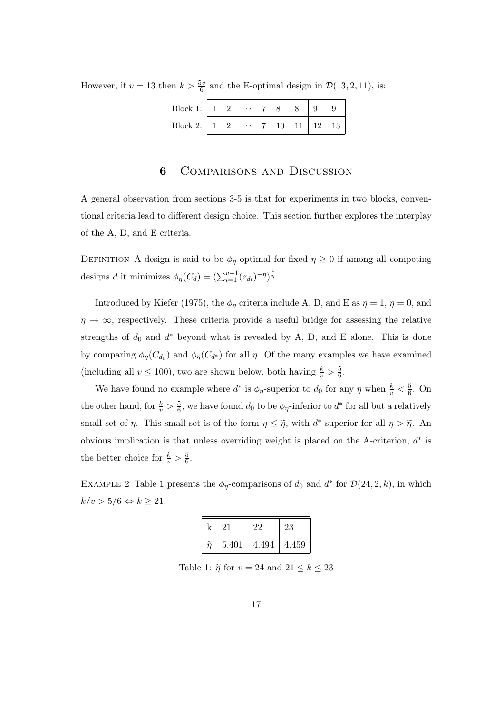However, if  $v = 13$  then  $k > \frac{5v}{6}$  and the E-optimal design in  $\mathcal{D}(13, 2, 11)$ , is:

| Block 1: $\mid 1 \mid 2 \mid$ |  | $\cdots$ 7 |         |    |        |    |    |
|-------------------------------|--|------------|---------|----|--------|----|----|
| Block 2: $\vert 1 \vert$ 2    |  | $\cdots$   | $\pm 7$ | 10 | ` 11 L | 12 | 13 |

# 6 Comparisons and Discussion

A general observation from sections 3-5 is that for experiments in two blocks, conventional criteria lead to different design choice. This section further explores the interplay of the A, D, and E criteria.

DEFINITION A design is said to be  $\phi_{\eta}$ -optimal for fixed  $\eta \geq 0$  if among all competing designs d it minimizes  $\phi_{\eta}(C_d) = \left(\sum_{i=1}^{v-1} (z_{di})^{-\eta}\right)^{\frac{1}{\eta}}$ 

Introduced by Kiefer (1975), the  $\phi_{\eta}$  criteria include A, D, and E as  $\eta = 1$ ,  $\eta = 0$ , and  $\eta \rightarrow \infty$ , respectively. These criteria provide a useful bridge for assessing the relative strengths of  $d_0$  and  $d^*$  beyond what is revealed by A, D, and E alone. This is done by comparing  $\phi_{\eta}(C_{d_0})$  and  $\phi_{\eta}(C_{d^*})$  for all  $\eta$ . Of the many examples we have examined (including all  $v \le 100$ ), two are shown below, both having  $\frac{k}{v} > \frac{5}{6}$  $\frac{5}{6}$ .

We have found no example where  $d^*$  is  $\phi_{\eta}$ -superior to  $d_0$  for any  $\eta$  when  $\frac{k}{v} < \frac{5}{6}$  $\frac{5}{6}$ . On the other hand, for  $\frac{k}{v} > \frac{5}{6}$  $\frac{5}{6}$ , we have found  $d_0$  to be  $\phi_{\eta}$ -inferior to  $d^*$  for all but a relatively small set of  $\eta$ . This small set is of the form  $\eta \leq \tilde{\eta}$ , with  $d^*$  superior for all  $\eta > \tilde{\eta}$ . An obvious implication is that unless overriding weight is placed on the A-criterion,  $d^*$  is the better choice for  $\frac{k}{v} > \frac{5}{6}$  $\frac{5}{6}$ .

EXAMPLE 2 Table 1 presents the  $\phi_{\eta}$ -comparisons of  $d_0$  and  $d^*$  for  $\mathcal{D}(24, 2, k)$ , in which  $k/v > 5/6 \Leftrightarrow k \ge 21.$ 

|                 | 21    | 22    | 23    |
|-----------------|-------|-------|-------|
| $\widetilde{n}$ | 5.401 | 4.494 | 4.459 |

Table 1:  $\widetilde{\eta}$  for  $v=24$  and  $21\leq k\leq 23$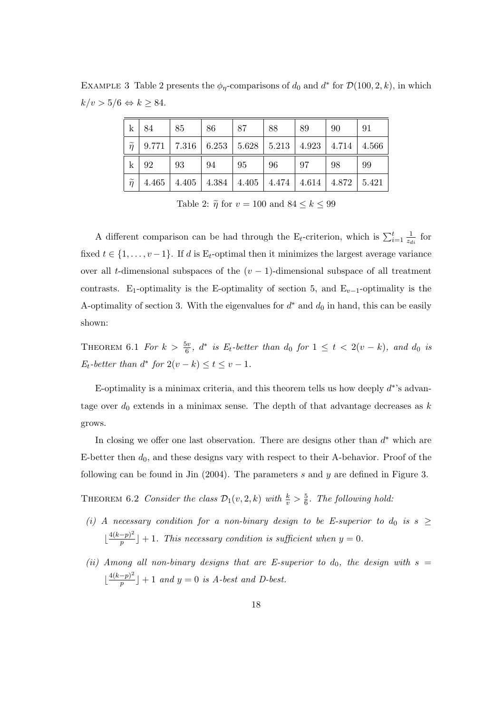EXAMPLE 3 Table 2 presents the  $\phi_{\eta}$ -comparisons of  $d_0$  and  $d^*$  for  $\mathcal{D}(100, 2, k)$ , in which  $k/v > 5/6 \Leftrightarrow k \geq 84.$ 

| $\mathbf{k}$    | -84                                                                                | 85                                                                            | -86 | - 87 | 88  | -89 | 90 | -91 |
|-----------------|------------------------------------------------------------------------------------|-------------------------------------------------------------------------------|-----|------|-----|-----|----|-----|
|                 | $\widetilde{\eta}$   9.771   7.316   6.253   5.628   5.213   4.923   4.714   4.566 |                                                                               |     |      |     |     |    |     |
| $\mathbf{k}$    | -92                                                                                | 93                                                                            | 94  | -95  | -96 | -97 | 98 | 99  |
| $\widetilde{n}$ |                                                                                    | $4.465$   $4.405$   $4.384$   $4.405$   $4.474$   $4.614$   $4.872$   $5.421$ |     |      |     |     |    |     |

Table 2:  $\tilde{\eta}$  for  $v = 100$  and  $84 \leq k \leq 99$ 

A different comparison can be had through the E<sub>t</sub>-criterion, which is  $\sum_{i=1}^{t} \frac{1}{z_d}$  $rac{1}{z_{di}}$  for fixed  $t \in \{1, \ldots, v-1\}$ . If d is E<sub>t</sub>-optimal then it minimizes the largest average variance over all t-dimensional subspaces of the  $(v - 1)$ -dimensional subspace of all treatment contrasts. E<sub>1</sub>-optimality is the E-optimality of section 5, and  $E_{v-1}$ -optimality is the A-optimality of section 3. With the eigenvalues for  $d^*$  and  $d_0$  in hand, this can be easily shown:

THEOREM 6.1 For  $k > \frac{5v}{6}$ ,  $d^*$  is  $E_t$ -better than  $d_0$  for  $1 \le t < 2(v-k)$ , and  $d_0$  is  $E_t$ -better than  $d^*$  for  $2(v-k) \le t \le v-1$ .

E-optimality is a minimax criteria, and this theorem tells us how deeply  $d^*$ 's advantage over  $d_0$  extends in a minimax sense. The depth of that advantage decreases as  $k$ grows.

In closing we offer one last observation. There are designs other than  $d^*$  which are E-better then  $d_0$ , and these designs vary with respect to their A-behavior. Proof of the following can be found in Jin  $(2004)$ . The parameters s and y are defined in Figure 3.

THEOREM 6.2 Consider the class  $\mathcal{D}_1(v, 2, k)$  with  $\frac{k}{v} > \frac{5}{6}$  $\frac{5}{6}$ . The following hold:

- (i) A necessary condition for a non-binary design to be E-superior to  $d_0$  is  $s \geq$  $\frac{4(k-p)^2}{p}$  $\left[\frac{-p}{p}\right] + 1$ . This necessary condition is sufficient when  $y = 0$ .
- (ii) Among all non-binary designs that are E-superior to  $d_0$ , the design with  $s =$  $\frac{4(k-p)^2}{p}$  $\left[\frac{-p}{p}\right]+1$  and  $y=0$  is A-best and D-best.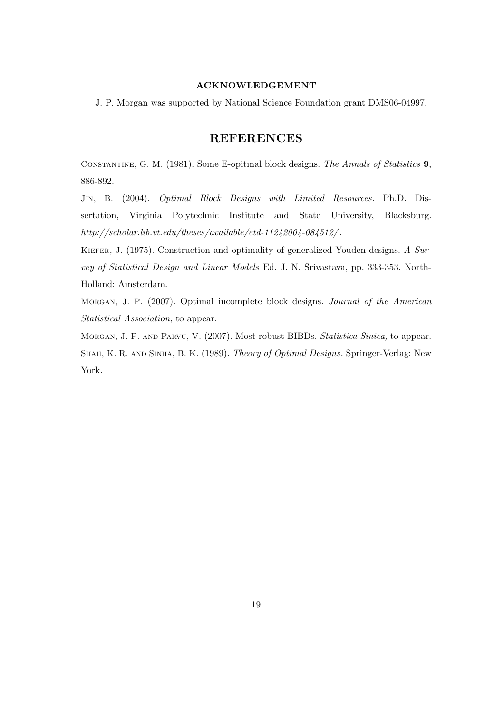#### ACKNOWLEDGEMENT

J. P. Morgan was supported by National Science Foundation grant DMS06-04997.

### **REFERENCES**

Constantine, G. M. (1981). Some E-opitmal block designs. The Annals of Statistics 9, 886-892.

Jin, B. (2004). Optimal Block Designs with Limited Resources. Ph.D. Dissertation, Virginia Polytechnic Institute and State University, Blacksburg. http://scholar.lib.vt.edu/theses/available/etd-11242004-084512/ .

KIEFER, J. (1975). Construction and optimality of generalized Youden designs. A Survey of Statistical Design and Linear Models Ed. J. N. Srivastava, pp. 333-353. North-Holland: Amsterdam.

Morgan, J. P. (2007). Optimal incomplete block designs. Journal of the American Statistical Association, to appear.

Morgan, J. P. and Parvu, V. (2007). Most robust BIBDs. Statistica Sinica, to appear. Shah, K. R. and Sinha, B. K. (1989). Theory of Optimal Designs. Springer-Verlag: New York.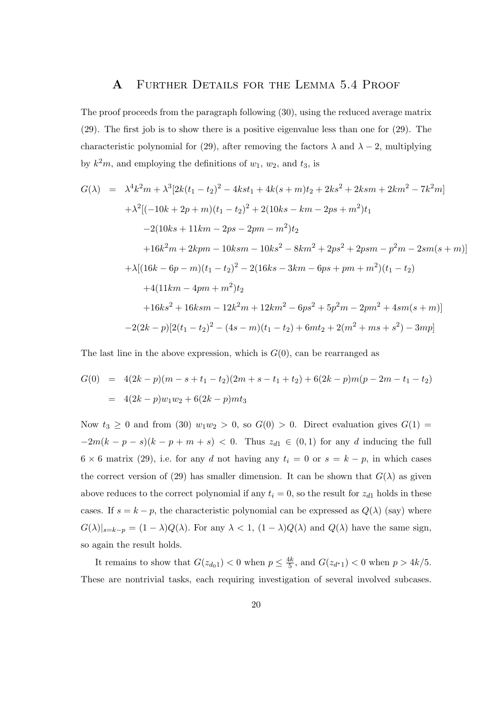#### A Further Details for the Lemma 5.4 Proof

The proof proceeds from the paragraph following (30), using the reduced average matrix (29). The first job is to show there is a positive eigenvalue less than one for (29). The characteristic polynomial for (29), after removing the factors  $\lambda$  and  $\lambda - 2$ , multiplying by  $k^2m$ , and employing the definitions of  $w_1, w_2$ , and  $t_3$ , is

$$
G(\lambda) = \lambda^4 k^2 m + \lambda^3 [2k(t_1 - t_2)^2 - 4kst_1 + 4k(s + m)t_2 + 2ks^2 + 2ksm + 2km^2 - 7k^2m]
$$
  
+  $\lambda^2 [(-10k + 2p + m)(t_1 - t_2)^2 + 2(10ks - km - 2ps + m^2)t_1$   
-2(10ks + 11km - 2ps - 2pm - m<sup>2</sup>)t<sub>2</sub>  
+ 16k<sup>2</sup>m + 2kpm - 10ksm - 10ks<sup>2</sup> - 8km<sup>2</sup> + 2ps<sup>2</sup> + 2psm - p<sup>2</sup>m - 2sm(s + m)]  
+  $\lambda [(16k - 6p - m)(t_1 - t_2)^2 - 2(16ks - 3km - 6ps + pm + m^2)(t_1 - t_2)$   
+4(11km - 4pm + m<sup>2</sup>)t<sub>2</sub>  
+16ks<sup>2</sup> + 16ksm - 12k<sup>2</sup>m + 12km<sup>2</sup> - 6ps<sup>2</sup> + 5p<sup>2</sup>m - 2pm<sup>2</sup> + 4sm(s + m)]  
-2(2k - p)[2(t\_1 - t\_2)<sup>2</sup> - (4s - m)(t\_1 - t\_2) + 6mt\_2 + 2(m<sup>2</sup> + ms + s<sup>2</sup>) - 3mp]

The last line in the above expression, which is  $G(0)$ , can be rearranged as

$$
G(0) = 4(2k - p)(m - s + t_1 - t_2)(2m + s - t_1 + t_2) + 6(2k - p)m(p - 2m - t_1 - t_2)
$$
  
= 4(2k - p)w<sub>1</sub>w<sub>2</sub> + 6(2k - p)mt<sub>3</sub>

Now  $t_3 \geq 0$  and from (30)  $w_1w_2 > 0$ , so  $G(0) > 0$ . Direct evaluation gives  $G(1) =$  $-2m(k-p-s)(k-p+m+s)$  < 0. Thus  $z_{d1} \in (0,1)$  for any d inducing the full  $6 \times 6$  matrix (29), i.e. for any d not having any  $t_i = 0$  or  $s = k - p$ , in which cases the correct version of (29) has smaller dimension. It can be shown that  $G(\lambda)$  as given above reduces to the correct polynomial if any  $t_i = 0$ , so the result for  $z_{d1}$  holds in these cases. If  $s = k - p$ , the characteristic polynomial can be expressed as  $Q(\lambda)$  (say) where  $G(\lambda)|_{s=k-p} = (1-\lambda)Q(\lambda)$ . For any  $\lambda < 1$ ,  $(1-\lambda)Q(\lambda)$  and  $Q(\lambda)$  have the same sign, so again the result holds.

It remains to show that  $G(z_{d_0 1}) < 0$  when  $p \leq \frac{4k}{5}$  $\frac{4k}{5}$ , and  $G(z_{d^*1}) < 0$  when  $p > 4k/5$ . These are nontrivial tasks, each requiring investigation of several involved subcases.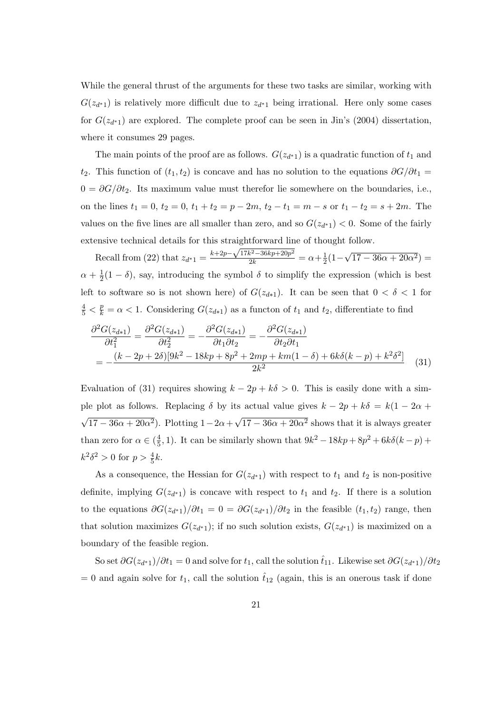While the general thrust of the arguments for these two tasks are similar, working with  $G(z_{d^*1})$  is relatively more difficult due to  $z_{d^*1}$  being irrational. Here only some cases for  $G(z_{d^*1})$  are explored. The complete proof can be seen in Jin's (2004) dissertation, where it consumes 29 pages.

The main points of the proof are as follows.  $G(z_{d^*1})$  is a quadratic function of  $t_1$  and t<sub>2</sub>. This function of  $(t_1, t_2)$  is concave and has no solution to the equations  $\partial G/\partial t_1 =$  $0 = \partial G/\partial t_2$ . Its maximum value must therefor lie somewhere on the boundaries, i.e., on the lines  $t_1 = 0$ ,  $t_2 = 0$ ,  $t_1 + t_2 = p - 2m$ ,  $t_2 - t_1 = m - s$  or  $t_1 - t_2 = s + 2m$ . The values on the five lines are all smaller than zero, and so  $G(z_{d^*1}) < 0$ . Some of the fairly extensive technical details for this straightforward line of thought follow.

Recall from (22) that  $z_{d^*1} = \frac{k+2p-\sqrt{17k^2-36kp+20p^2}}{2k} = \alpha + \frac{1}{2}$  $rac{1}{2}(1 -$ √  $\overline{17 - 36\alpha + 20\alpha^2}$  =  $\alpha + \frac{1}{2}$  $\frac{1}{2}(1-\delta)$ , say, introducing the symbol  $\delta$  to simplify the expression (which is best left to software so is not shown here) of  $G(z_{d*1})$ . It can be seen that  $0 < \delta < 1$  for  $\frac{4}{5} < \frac{p}{k} = \alpha < 1$ . Considering  $G(z_{d*1})$  as a functon of  $t_1$  and  $t_2$ , differentiate to find

$$
\frac{\partial^2 G(z_{d*1})}{\partial t_1^2} = \frac{\partial^2 G(z_{d*1})}{\partial t_2^2} = -\frac{\partial^2 G(z_{d*1})}{\partial t_1 \partial t_2} = -\frac{\partial^2 G(z_{d*1})}{\partial t_2 \partial t_1}
$$
  
= 
$$
-\frac{(k-2p+2\delta)[9k^2-18kp+8p^2+2mp+km(1-\delta)+6k\delta(k-p)+k^2\delta^2]}{2k^2}
$$
(31)

Evaluation of (31) requires showing  $k - 2p + k\delta > 0$ . This is easily done with a simple plot as follows. Replacing  $\delta$  by its actual value gives  $k - 2p + k\delta = k(1 - 2\alpha +$ √  $\overline{17 - 36\alpha + 20\alpha^2}$ . Plotting  $1 - 2\alpha +$ √  $17 - 36\alpha + 20\alpha^2$  shows that it is always greater than zero for  $\alpha \in (\frac{4}{5})$  $(\frac{4}{5}, 1)$ . It can be similarly shown that  $9k^2 - 18kp + 8p^2 + 6k\delta(k - p)$  +  $k^2 \delta^2 > 0$  for  $p > \frac{4}{5}k$ .

As a consequence, the Hessian for  $G(z_{d^*1})$  with respect to  $t_1$  and  $t_2$  is non-positive definite, implying  $G(z_{d^*1})$  is concave with respect to  $t_1$  and  $t_2$ . If there is a solution to the equations  $\partial G(z_{d^*1})/\partial t_1 = 0 = \partial G(z_{d^*1})/\partial t_2$  in the feasible  $(t_1, t_2)$  range, then that solution maximizes  $G(z_{d^*1})$ ; if no such solution exists,  $G(z_{d^*1})$  is maximized on a boundary of the feasible region.

So set  $\partial G(z_{d^*1})/\partial t_1 = 0$  and solve for  $t_1$ , call the solution  $\hat{t}_{11}$ . Likewise set  $\partial G(z_{d^*1})/\partial t_2$  $= 0$  and again solve for  $t_1$ , call the solution  $\hat{t}_{12}$  (again, this is an onerous task if done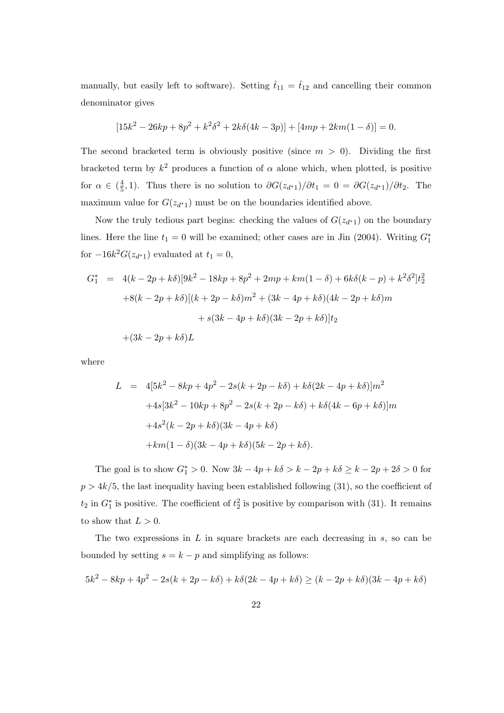manually, but easily left to software). Setting  $\hat{t}_{11} = \hat{t}_{12}$  and cancelling their common denominator gives

$$
[15k2 - 26kp + 8p2 + k2\delta2 + 2k\delta(4k - 3p)] + [4mp + 2km(1 - \delta)] = 0.
$$

The second bracketed term is obviously positive (since  $m > 0$ ). Dividing the first bracketed term by  $k^2$  produces a function of  $\alpha$  alone which, when plotted, is positive for  $\alpha \in (\frac{4}{5})$  $\frac{4}{5}$ , 1). Thus there is no solution to  $\partial G(z_{d^*1})/\partial t_1 = 0 = \partial G(z_{d^*1})/\partial t_2$ . The maximum value for  $G(z_{d^*1})$  must be on the boundaries identified above.

Now the truly tedious part begins: checking the values of  $G(z_{d^*1})$  on the boundary lines. Here the line  $t_1 = 0$  will be examined; other cases are in Jin (2004). Writing  $G_1^*$ for  $-16k^2G(z_{d^*1})$  evaluated at  $t_1=0$ ,

$$
G_1^* = 4(k - 2p + k\delta)[9k^2 - 18kp + 8p^2 + 2mp + km(1 - \delta) + 6k\delta(k - p) + k^2\delta^2]t_2^2
$$
  
+8(k - 2p + k\delta)[(k + 2p - k\delta)m^2 + (3k - 4p + k\delta)(4k - 2p + k\delta)m  
+ s(3k - 4p + k\delta)(3k - 2p + k\delta)]t\_2  
+(3k - 2p + k\delta)L

where

$$
L = 4[5k2 - 8kp + 4p2 - 2s(k + 2p - k\delta) + k\delta(2k - 4p + k\delta)]m2
$$
  
+4s[3k<sup>2</sup> - 10kp + 8p<sup>2</sup> - 2s(k + 2p - k\delta) + k\delta(4k - 6p + k\delta)]m  
+4s<sup>2</sup>(k - 2p + k\delta)(3k - 4p + k\delta)  
+km(1 - \delta)(3k - 4p + k\delta)(5k - 2p + k\delta).

The goal is to show  $G_1^* > 0$ . Now  $3k - 4p + k\delta > k - 2p + k\delta \ge k - 2p + 2\delta > 0$  for  $p > 4k/5$ , the last inequality having been established following (31), so the coefficient of  $t_2$  in  $G_1^*$  is positive. The coefficient of  $t_2$  is positive by comparison with (31). It remains to show that  $L > 0$ .

The two expressions in  $L$  in square brackets are each decreasing in  $s$ , so can be bounded by setting  $s = k - p$  and simplifying as follows:

$$
5k^2 - 8kp + 4p^2 - 2s(k + 2p - k\delta) + k\delta(2k - 4p + k\delta) \ge (k - 2p + k\delta)(3k - 4p + k\delta)
$$